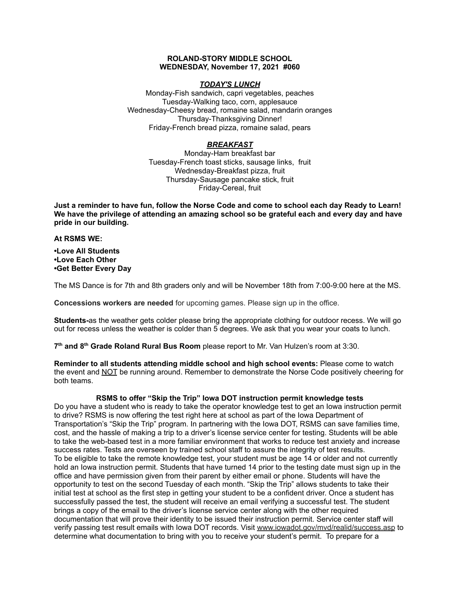#### **ROLAND-STORY MIDDLE SCHOOL WEDNESDAY, November 17, 2021 #060**

## *TODAY'S LUNCH*

Monday-Fish sandwich, capri vegetables, peaches Tuesday-Walking taco, corn, applesauce Wednesday-Cheesy bread, romaine salad, mandarin oranges Thursday-Thanksgiving Dinner! Friday-French bread pizza, romaine salad, pears

# *BREAKFAST*

Monday-Ham breakfast bar Tuesday-French toast sticks, sausage links, fruit Wednesday-Breakfast pizza, fruit Thursday-Sausage pancake stick, fruit Friday-Cereal, fruit

Just a reminder to have fun, follow the Norse Code and come to school each day Ready to Learn! **We have the privilege of attending an amazing school so be grateful each and every day and have pride in our building.**

#### **At RSMS WE:**

**•Love All Students •Love Each Other •Get Better Every Day**

The MS Dance is for 7th and 8th graders only and will be November 18th from 7:00-9:00 here at the MS.

**Concessions workers are needed** for upcoming games. Please sign up in the office.

**Students-**as the weather gets colder please bring the appropriate clothing for outdoor recess. We will go out for recess unless the weather is colder than 5 degrees. We ask that you wear your coats to lunch.

**7 th and 8 th Grade Roland Rural Bus Room** please report to Mr. Van Hulzen's room at 3:30.

**Reminder to all students attending middle school and high school events:** Please come to watch the event and NOT be running around. Remember to demonstrate the Norse Code positively cheering for both teams.

# **RSMS to offer "Skip the Trip" Iowa DOT instruction permit knowledge tests**

Do you have a student who is ready to take the operator knowledge test to get an Iowa instruction permit to drive? RSMS is now offering the test right here at school as part of the Iowa Department of Transportation's "Skip the Trip" program. In partnering with the Iowa DOT, RSMS can save families time, cost, and the hassle of making a trip to a driver's license service center for testing. Students will be able to take the web-based test in a more familiar environment that works to reduce test anxiety and increase success rates. Tests are overseen by trained school staff to assure the integrity of test results. To be eligible to take the remote knowledge test, your student must be age 14 or older and not currently hold an Iowa instruction permit. Students that have turned 14 prior to the testing date must sign up in the office and have permission given from their parent by either email or phone. Students will have the opportunity to test on the second Tuesday of each month. "Skip the Trip" allows students to take their initial test at school as the first step in getting your student to be a confident driver. Once a student has successfully passed the test, the student will receive an email verifying a successful test. The student brings a copy of the email to the driver's license service center along with the other required documentation that will prove their identity to be issued their instruction permit. Service center staff will verify passing test result emails with Iowa DOT records. Visit [www.iowadot.gov/mvd/realid/success.asp](http://www.iowadot.gov/mvd/realid/success.asp) to determine what documentation to bring with you to receive your student's permit. To prepare for a